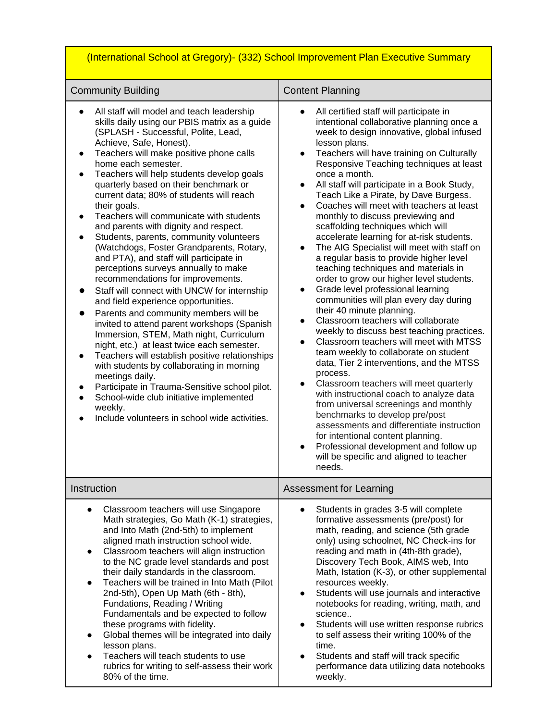| (International School at Gregory)- (332) School Improvement Plan Executive Summary                                                                                                                                                                                                                                                                                                                                                                                                                                                                                                                                                                                                                                                                                                                                                                                                                                                                                                                                                                                                                                                                                                                                                   |                                                                                                                                                                                                                                                                                                                                                                                                                                                                                                                                                                                                                                                                                                                                                                                                                                                                                                                                                                                                                                                                                                                                                                                                                                                                                                                                                                                                                                                                                                           |
|--------------------------------------------------------------------------------------------------------------------------------------------------------------------------------------------------------------------------------------------------------------------------------------------------------------------------------------------------------------------------------------------------------------------------------------------------------------------------------------------------------------------------------------------------------------------------------------------------------------------------------------------------------------------------------------------------------------------------------------------------------------------------------------------------------------------------------------------------------------------------------------------------------------------------------------------------------------------------------------------------------------------------------------------------------------------------------------------------------------------------------------------------------------------------------------------------------------------------------------|-----------------------------------------------------------------------------------------------------------------------------------------------------------------------------------------------------------------------------------------------------------------------------------------------------------------------------------------------------------------------------------------------------------------------------------------------------------------------------------------------------------------------------------------------------------------------------------------------------------------------------------------------------------------------------------------------------------------------------------------------------------------------------------------------------------------------------------------------------------------------------------------------------------------------------------------------------------------------------------------------------------------------------------------------------------------------------------------------------------------------------------------------------------------------------------------------------------------------------------------------------------------------------------------------------------------------------------------------------------------------------------------------------------------------------------------------------------------------------------------------------------|
| <b>Community Building</b>                                                                                                                                                                                                                                                                                                                                                                                                                                                                                                                                                                                                                                                                                                                                                                                                                                                                                                                                                                                                                                                                                                                                                                                                            | <b>Content Planning</b>                                                                                                                                                                                                                                                                                                                                                                                                                                                                                                                                                                                                                                                                                                                                                                                                                                                                                                                                                                                                                                                                                                                                                                                                                                                                                                                                                                                                                                                                                   |
| All staff will model and teach leadership<br>skills daily using our PBIS matrix as a guide<br>(SPLASH - Successful, Polite, Lead,<br>Achieve, Safe, Honest).<br>Teachers will make positive phone calls<br>home each semester.<br>Teachers will help students develop goals<br>quarterly based on their benchmark or<br>current data; 80% of students will reach<br>their goals.<br>Teachers will communicate with students<br>and parents with dignity and respect.<br>Students, parents, community volunteers<br>(Watchdogs, Foster Grandparents, Rotary,<br>and PTA), and staff will participate in<br>perceptions surveys annually to make<br>recommendations for improvements.<br>Staff will connect with UNCW for internship<br>and field experience opportunities.<br>Parents and community members will be<br>invited to attend parent workshops (Spanish<br>Immersion, STEM, Math night, Curriculum<br>night, etc.) at least twice each semester.<br>Teachers will establish positive relationships<br>with students by collaborating in morning<br>meetings daily.<br>Participate in Trauma-Sensitive school pilot.<br>School-wide club initiative implemented<br>weekly.<br>Include volunteers in school wide activities. | All certified staff will participate in<br>$\bullet$<br>intentional collaborative planning once a<br>week to design innovative, global infused<br>lesson plans.<br>Teachers will have training on Culturally<br>$\bullet$<br>Responsive Teaching techniques at least<br>once a month.<br>All staff will participate in a Book Study,<br>Teach Like a Pirate, by Dave Burgess.<br>Coaches will meet with teachers at least<br>$\bullet$<br>monthly to discuss previewing and<br>scaffolding techniques which will<br>accelerate learning for at-risk students.<br>The AIG Specialist will meet with staff on<br>$\bullet$<br>a regular basis to provide higher level<br>teaching techniques and materials in<br>order to grow our higher level students.<br>Grade level professional learning<br>$\bullet$<br>communities will plan every day during<br>their 40 minute planning.<br>Classroom teachers will collaborate<br>$\bullet$<br>weekly to discuss best teaching practices.<br>Classroom teachers will meet with MTSS<br>$\bullet$<br>team weekly to collaborate on student<br>data, Tier 2 interventions, and the MTSS<br>process.<br>Classroom teachers will meet quarterly<br>$\bullet$<br>with instructional coach to analyze data<br>from universal screenings and monthly<br>benchmarks to develop pre/post<br>assessments and differentiate instruction<br>for intentional content planning.<br>Professional development and follow up<br>will be specific and aligned to teacher<br>needs. |
| Instruction                                                                                                                                                                                                                                                                                                                                                                                                                                                                                                                                                                                                                                                                                                                                                                                                                                                                                                                                                                                                                                                                                                                                                                                                                          | Assessment for Learning                                                                                                                                                                                                                                                                                                                                                                                                                                                                                                                                                                                                                                                                                                                                                                                                                                                                                                                                                                                                                                                                                                                                                                                                                                                                                                                                                                                                                                                                                   |
| Classroom teachers will use Singapore<br>$\bullet$<br>Math strategies, Go Math (K-1) strategies,<br>and Into Math (2nd-5th) to implement<br>aligned math instruction school wide.<br>Classroom teachers will align instruction<br>to the NC grade level standards and post<br>their daily standards in the classroom.<br>Teachers will be trained in Into Math (Pilot<br>2nd-5th), Open Up Math (6th - 8th),<br>Fundations, Reading / Writing<br>Fundamentals and be expected to follow<br>these programs with fidelity.<br>Global themes will be integrated into daily<br>lesson plans.<br>Teachers will teach students to use<br>rubrics for writing to self-assess their work<br>80% of the time.                                                                                                                                                                                                                                                                                                                                                                                                                                                                                                                                 | Students in grades 3-5 will complete<br>$\bullet$<br>formative assessments (pre/post) for<br>math, reading, and science (5th grade<br>only) using schoolnet, NC Check-ins for<br>reading and math in (4th-8th grade),<br>Discovery Tech Book, AIMS web, Into<br>Math, Istation (K-3), or other supplemental<br>resources weekly.<br>Students will use journals and interactive<br>$\bullet$<br>notebooks for reading, writing, math, and<br>science<br>Students will use written response rubrics<br>$\bullet$<br>to self assess their writing 100% of the<br>time.<br>Students and staff will track specific<br>$\bullet$<br>performance data utilizing data notebooks<br>weekly.                                                                                                                                                                                                                                                                                                                                                                                                                                                                                                                                                                                                                                                                                                                                                                                                                        |